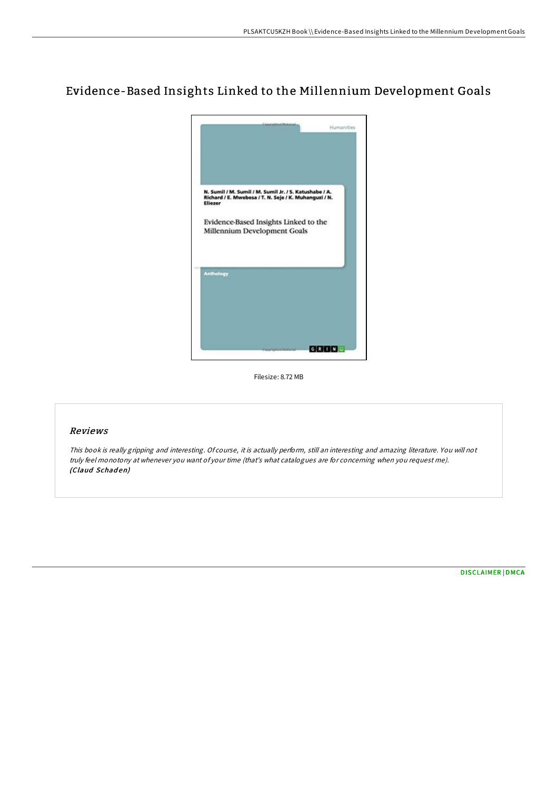# Evidence-Based Insights Linked to the Millennium Development Goals



Filesize: 8.72 MB

# Reviews

This book is really gripping and interesting. Of course, it is actually perform, still an interesting and amazing literature. You will not truly feel monotony at whenever you want of your time (that's what catalogues are for concerning when you request me). (Claud Schaden)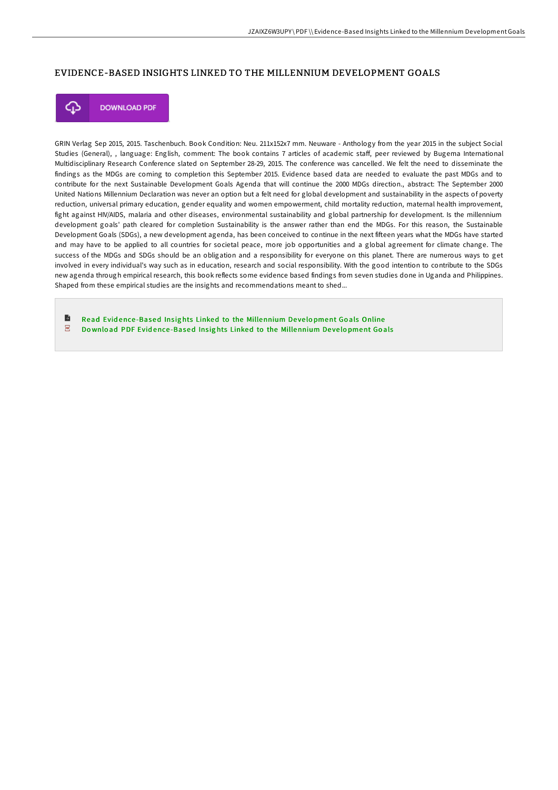## EVIDENCE-BASED INSIGHTS LINKED TO THE MILLENNIUM DEVELOPMENT GOALS



**DOWNLOAD PDF** 

GRIN Verlag Sep 2015, 2015. Taschenbuch. Book Condition: Neu. 211x152x7 mm. Neuware - Anthology from the year 2015 in the subject Social Studies (General), , language: English, comment: The book contains 7 articles of academic staF, peer reviewed by Bugema International Multidisciplinary Research Conference slated on September 28-29, 2015. The conference was cancelled. We felt the need to disseminate the findings as the MDGs are coming to completion this September 2015. Evidence based data are needed to evaluate the past MDGs and to contribute for the next Sustainable Development Goals Agenda that will continue the 2000 MDGs direction., abstract: The September 2000 United Nations Millennium Declaration was never an option but a felt need for global development and sustainability in the aspects of poverty reduction, universal primary education, gender equality and women empowerment, child mortality reduction, maternal health improvement, fight against HIV/AIDS, malaria and other diseases, environmental sustainability and global partnership for development. Is the millennium development goals' path cleared for completion Sustainability is the answer rather than end the MDGs. For this reason, the Sustainable Development Goals (SDGs), a new development agenda, has been conceived to continue in the next fifteen years what the MDGs have started and may have to be applied to all countries for societal peace, more job opportunities and a global agreement for climate change. The success of the MDGs and SDGs should be an obligation and a responsibility for everyone on this planet. There are numerous ways to get involved in every individual's way such as in education, research and social responsibility. With the good intention to contribute to the SDGs new agenda through empirical research, this book reflects some evidence based findings from seven studies done in Uganda and Philippines. Shaped from these empirical studies are the insights and recommendations meant to shed...

B Read Evid ence -Based Ins ig hts Linked to the [Millennium](http://almighty24.tech/evidence-based-insights-linked-to-the-millennium.html) De ve lo pment Go als Online  $\overline{\rm \bf PDF}$ Download PDF Evidence-Based Insights Linked to the [Millennium](http://almighty24.tech/evidence-based-insights-linked-to-the-millennium.html) Development Goals